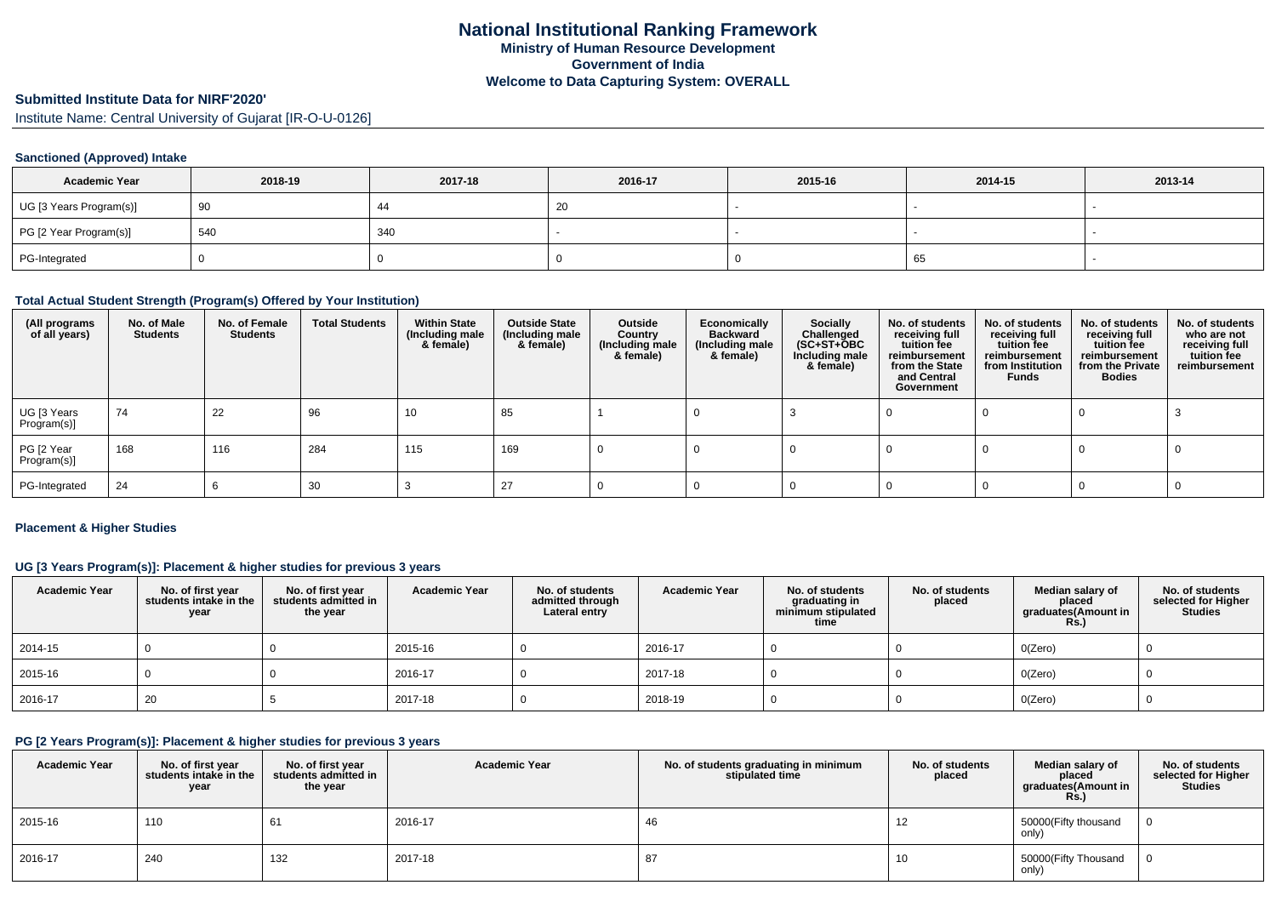# **Submitted Institute Data for NIRF'2020'**

Institute Name: Central University of Gujarat [IR-O-U-0126]

## **Sanctioned (Approved) Intake**

| <b>Academic Year</b>    | 2018-19 | 2017-18 | 2016-17      | 2015-16 | 2014-15 | 2013-14 |
|-------------------------|---------|---------|--------------|---------|---------|---------|
| UG [3 Years Program(s)] | 90      |         | $\sim$<br>∠∪ |         |         |         |
| PG [2 Year Program(s)]  | 540     | 340     |              |         |         |         |
| PG-Integrated           |         |         |              |         | 65      |         |

#### **Total Actual Student Strength (Program(s) Offered by Your Institution)**

| (All programs<br>of all years) | No. of Male<br><b>Students</b> | No. of Female<br><b>Students</b> | <b>Total Students</b> | <b>Within State</b><br>(Including male<br>& female) | <b>Outside State</b><br>(Including male<br>& female) | Outside<br>Country<br>(Including male<br>& female) | Economically<br><b>Backward</b><br>(Including male<br>& female) | <b>Socially</b><br>Challenged<br>(SC+ST+ŎBC<br>Including male<br>& female) | No. of students<br>receiving full<br>tuition fee<br>reimbursement<br>from the State<br>and Central<br>Government | No. of students<br>receiving full<br>tuition fee<br>reimbursement<br>from Institution<br>Funds | No. of students<br>receiving full<br>tuition fee<br>reimbursement<br>from the Private<br><b>Bodies</b> | No. of students<br>who are not<br>receiving full<br>tuition fee<br>reimbursement |
|--------------------------------|--------------------------------|----------------------------------|-----------------------|-----------------------------------------------------|------------------------------------------------------|----------------------------------------------------|-----------------------------------------------------------------|----------------------------------------------------------------------------|------------------------------------------------------------------------------------------------------------------|------------------------------------------------------------------------------------------------|--------------------------------------------------------------------------------------------------------|----------------------------------------------------------------------------------|
| UG [3 Years<br>Program(s)]     | 74                             | 22                               | 96                    | 10                                                  | 85                                                   |                                                    |                                                                 |                                                                            |                                                                                                                  |                                                                                                |                                                                                                        |                                                                                  |
| PG [2 Year<br>Program(s)]      | 168                            | 116                              | 284                   | 115                                                 | 169                                                  |                                                    |                                                                 |                                                                            |                                                                                                                  |                                                                                                |                                                                                                        |                                                                                  |
| PG-Integrated                  | 24                             |                                  | 30                    |                                                     | 27                                                   |                                                    |                                                                 |                                                                            |                                                                                                                  |                                                                                                |                                                                                                        |                                                                                  |

### **Placement & Higher Studies**

### **UG [3 Years Program(s)]: Placement & higher studies for previous 3 years**

| <b>Academic Year</b> | No. of first year<br>students intake in the<br>year | No. of first year<br>students admitted in<br>the year | <b>Academic Year</b> | No. of students<br>admitted through<br>Lateral entry | <b>Academic Year</b> | No. of students<br>graduating in<br>minimum stipulated<br>time | No. of students<br>placed | Median salary of<br>placed<br>graduates(Amount in<br><b>Rs.)</b> | No. of students<br>selected for Higher<br><b>Studies</b> |
|----------------------|-----------------------------------------------------|-------------------------------------------------------|----------------------|------------------------------------------------------|----------------------|----------------------------------------------------------------|---------------------------|------------------------------------------------------------------|----------------------------------------------------------|
| 2014-15              |                                                     |                                                       | 2015-16              |                                                      | 2016-17              |                                                                |                           | O(Zero)                                                          |                                                          |
| 2015-16              |                                                     |                                                       | 2016-17              |                                                      | 2017-18              |                                                                |                           | O(Zero)                                                          |                                                          |
| 2016-17              | 20                                                  |                                                       | 2017-18              |                                                      | 2018-19              |                                                                |                           | O(Zero)                                                          |                                                          |

#### **PG [2 Years Program(s)]: Placement & higher studies for previous 3 years**

| <b>Academic Year</b> | No. of first year<br>students intake in the<br>year | No. of first year<br>students admitted in<br>the year | <b>Academic Year</b> | No. of students graduating in minimum<br>stipulated time | No. of students<br>placed | Median salary of<br>placed<br>graduates(Amount in<br><b>Rs.)</b> | No. of students<br>selected for Higher<br><b>Studies</b> |
|----------------------|-----------------------------------------------------|-------------------------------------------------------|----------------------|----------------------------------------------------------|---------------------------|------------------------------------------------------------------|----------------------------------------------------------|
| 2015-16              | 110                                                 | 61                                                    | 2016-17              | 46                                                       | 12                        | 50000(Fifty thousand<br>only)                                    |                                                          |
| 2016-17              | 240                                                 | 132                                                   | 2017-18              | 87                                                       | 10                        | 50000(Fifty Thousand<br>only)                                    |                                                          |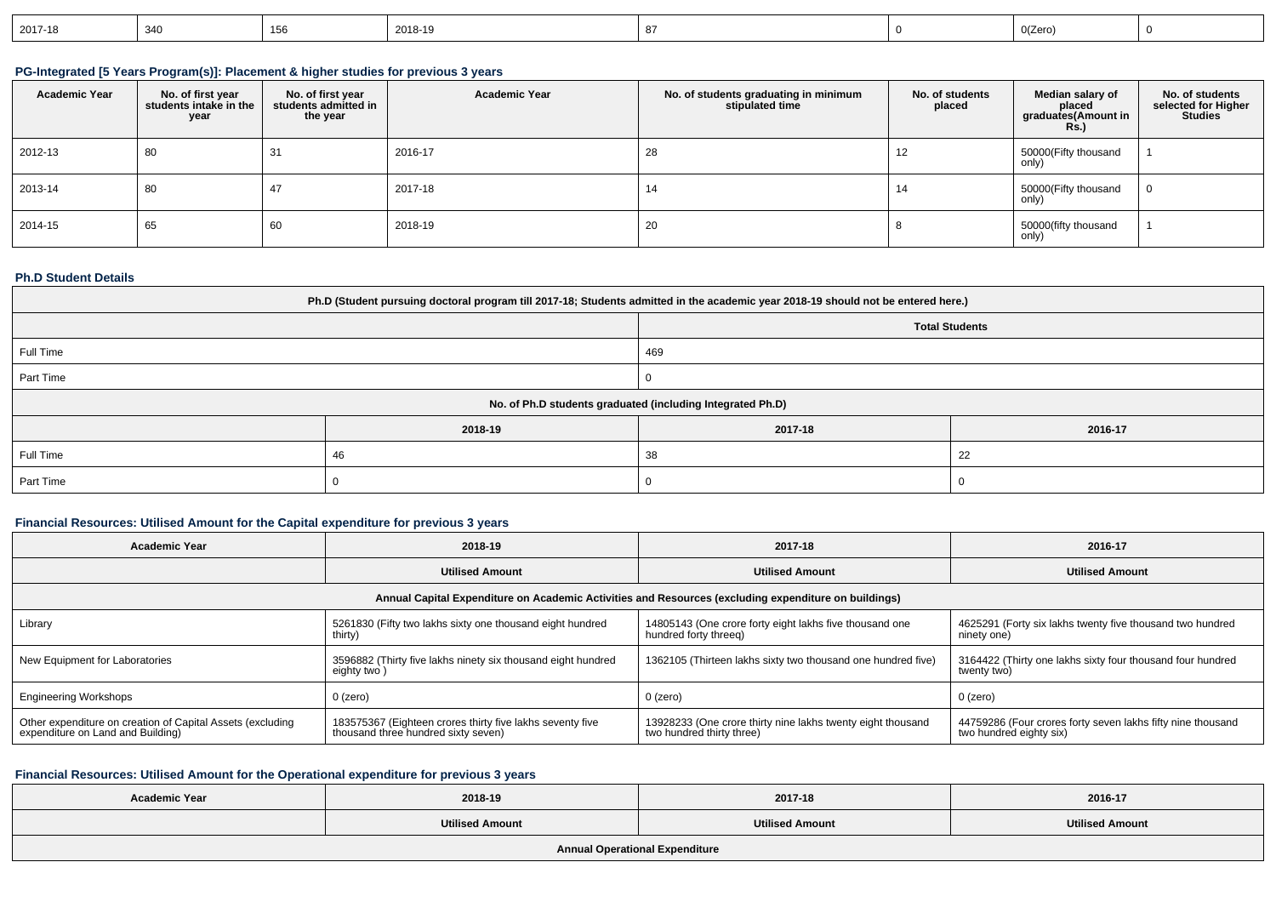| $ 2017-18$<br>340 |  | : 353 | 2018-19 |  |  | 0(Zerc |  |
|-------------------|--|-------|---------|--|--|--------|--|
|-------------------|--|-------|---------|--|--|--------|--|

## **PG-Integrated [5 Years Program(s)]: Placement & higher studies for previous 3 years**

| <b>Academic Year</b> | No. of first year<br>students intake in the<br>year | No. of first year<br>students admitted in<br>the year | <b>Academic Year</b> | No. of students graduating in minimum<br>stipulated time | No. of students<br>placed | Median salary of<br>placed<br>graduates(Amount in<br><b>Rs.</b> ) | No. of students<br>selected for Higher<br><b>Studies</b> |
|----------------------|-----------------------------------------------------|-------------------------------------------------------|----------------------|----------------------------------------------------------|---------------------------|-------------------------------------------------------------------|----------------------------------------------------------|
| 2012-13              | 80                                                  | 31                                                    | 2016-17              | 28                                                       | 12                        | 50000(Fifty thousand<br>only)                                     |                                                          |
| 2013-14              | 80                                                  | 47                                                    | 2017-18              | 14                                                       |                           | 50000(Fifty thousand<br>only)                                     | $\mathbf 0$                                              |
| 2014-15              | 65                                                  | 60                                                    | 2018-19              | 20                                                       |                           | 50000(fifty thousand<br>only)                                     |                                                          |

#### **Ph.D Student Details**

| Ph.D (Student pursuing doctoral program till 2017-18; Students admitted in the academic year 2018-19 should not be entered here.) |                                                            |         |         |  |  |  |
|-----------------------------------------------------------------------------------------------------------------------------------|------------------------------------------------------------|---------|---------|--|--|--|
|                                                                                                                                   | <b>Total Students</b>                                      |         |         |  |  |  |
| Full Time                                                                                                                         | 469                                                        |         |         |  |  |  |
| Part Time                                                                                                                         |                                                            |         |         |  |  |  |
|                                                                                                                                   | No. of Ph.D students graduated (including Integrated Ph.D) |         |         |  |  |  |
|                                                                                                                                   | 2018-19                                                    | 2017-18 | 2016-17 |  |  |  |
| Full Time                                                                                                                         | 22<br>38<br>46                                             |         |         |  |  |  |
| Part Time                                                                                                                         |                                                            |         |         |  |  |  |

## **Financial Resources: Utilised Amount for the Capital expenditure for previous 3 years**

| <b>Academic Year</b>                                                                            | 2018-19                                                                                          | 2017-18                                                                                              | 2016-17                                                                                |
|-------------------------------------------------------------------------------------------------|--------------------------------------------------------------------------------------------------|------------------------------------------------------------------------------------------------------|----------------------------------------------------------------------------------------|
|                                                                                                 | <b>Utilised Amount</b>                                                                           | <b>Utilised Amount</b>                                                                               | <b>Utilised Amount</b>                                                                 |
|                                                                                                 |                                                                                                  | Annual Capital Expenditure on Academic Activities and Resources (excluding expenditure on buildings) |                                                                                        |
| Library                                                                                         | 5261830 (Fifty two lakhs sixty one thousand eight hundred<br>thirty)                             | 14805143 (One crore forty eight lakhs five thousand one<br>hundred forty threeg)                     | 4625291 (Forty six lakhs twenty five thousand two hundred<br>ninety one)               |
| New Equipment for Laboratories                                                                  | 3596882 (Thirty five lakhs ninety six thousand eight hundred<br>eighty two)                      | 1362105 (Thirteen lakhs sixty two thousand one hundred five)                                         | 3164422 (Thirty one lakhs sixty four thousand four hundred<br>twenty two)              |
| <b>Engineering Workshops</b>                                                                    | 0 (zero)                                                                                         | 0 (zero)                                                                                             | 0 (zero)                                                                               |
| Other expenditure on creation of Capital Assets (excluding<br>expenditure on Land and Building) | 183575367 (Eighteen crores thirty five lakhs seventy five<br>thousand three hundred sixty seven) | 13928233 (One crore thirty nine lakhs twenty eight thousand<br>two hundred thirty three)             | 44759286 (Four crores forty seven lakhs fifty nine thousand<br>two hundred eighty six) |

## **Financial Resources: Utilised Amount for the Operational expenditure for previous 3 years**

| <b>Academic Year</b>                  | 2018-19                | 2017-18                | 2016-17                |  |  |  |
|---------------------------------------|------------------------|------------------------|------------------------|--|--|--|
|                                       | <b>Utilised Amount</b> | <b>Utilised Amount</b> | <b>Utilised Amount</b> |  |  |  |
| <b>Annual Operational Expenditure</b> |                        |                        |                        |  |  |  |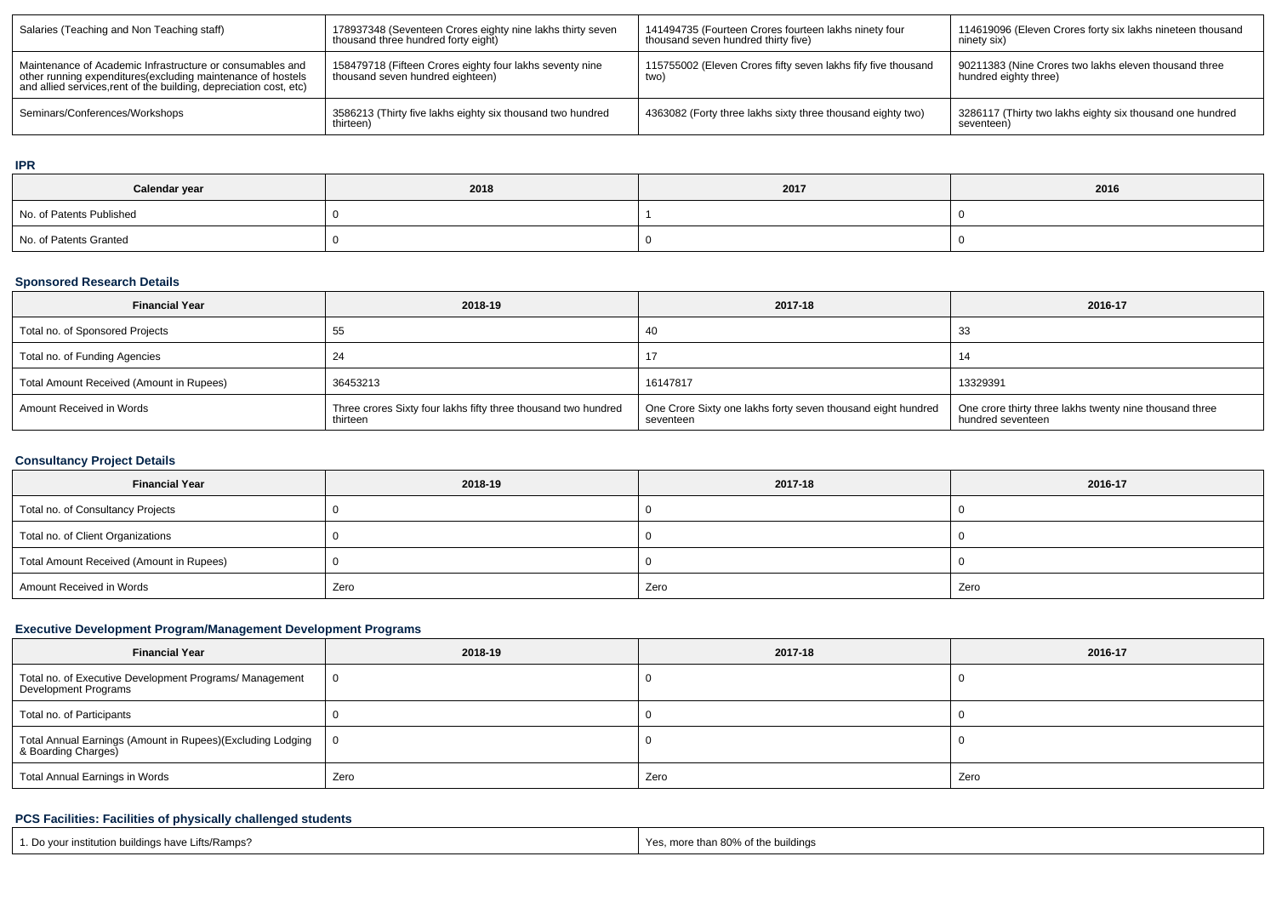| Salaries (Teaching and Non Teaching staff)                                                                                                                                                      | 178937348 (Seventeen Crores eighty nine lakhs thirty seven<br>thousand three hundred forty eight) | 141494735 (Fourteen Crores fourteen lakhs ninety four<br>thousand seven hundred thirty five) | 114619096 (Eleven Crores forty six lakhs nineteen thousand<br>ninety six)      |
|-------------------------------------------------------------------------------------------------------------------------------------------------------------------------------------------------|---------------------------------------------------------------------------------------------------|----------------------------------------------------------------------------------------------|--------------------------------------------------------------------------------|
| Maintenance of Academic Infrastructure or consumables and<br>other running expenditures (excluding maintenance of hostels<br>and allied services, rent of the building, depreciation cost, etc) | 158479718 (Fifteen Crores eighty four lakhs seventy nine<br>thousand seven hundred eighteen)      | 115755002 (Eleven Crores fifty seven lakhs fify five thousand<br>two)                        | 90211383 (Nine Crores two lakhs eleven thousand three<br>hundred eighty three) |
| Seminars/Conferences/Workshops                                                                                                                                                                  | 3586213 (Thirty five lakhs eighty six thousand two hundred<br>thirteen)                           | 4363082 (Forty three lakhs sixty three thousand eighty two)                                  | 3286117 (Thirty two lakhs eighty six thousand one hundred<br>seventeen)        |

### **IPR**

| Calendar year            | 2018 | 2017 | 2016 |
|--------------------------|------|------|------|
| No. of Patents Published |      |      |      |
| No. of Patents Granted   |      |      |      |

## **Sponsored Research Details**

| <b>Financial Year</b>                    | 2018-19                                                                    | 2017-18                                                                   | 2016-17                                                                      |
|------------------------------------------|----------------------------------------------------------------------------|---------------------------------------------------------------------------|------------------------------------------------------------------------------|
| Total no. of Sponsored Projects          | 55                                                                         | 40                                                                        | -33                                                                          |
| Total no. of Funding Agencies            | 24                                                                         |                                                                           |                                                                              |
| Total Amount Received (Amount in Rupees) | 36453213                                                                   | 16147817                                                                  | 13329391                                                                     |
| Amount Received in Words                 | Three crores Sixty four lakhs fifty three thousand two hundred<br>thirteen | One Crore Sixty one lakhs forty seven thousand eight hundred<br>seventeen | One crore thirty three lakhs twenty nine thousand three<br>hundred seventeen |

## **Consultancy Project Details**

| <b>Financial Year</b>                    | 2018-19 | 2017-18 | 2016-17 |  |  |
|------------------------------------------|---------|---------|---------|--|--|
| Total no. of Consultancy Projects        |         |         |         |  |  |
| Total no. of Client Organizations        |         |         |         |  |  |
| Total Amount Received (Amount in Rupees) |         |         |         |  |  |
| Amount Received in Words                 | Zero    | Zero    | Zero    |  |  |

## **Executive Development Program/Management Development Programs**

| <b>Financial Year</b>                                                             | 2018-19 | 2017-18 | 2016-17 |  |  |
|-----------------------------------------------------------------------------------|---------|---------|---------|--|--|
| Total no. of Executive Development Programs/ Management<br>Development Programs   |         |         |         |  |  |
| Total no. of Participants                                                         |         |         |         |  |  |
| Total Annual Earnings (Amount in Rupees)(Excluding Lodging<br>& Boarding Charges) |         |         |         |  |  |
| <b>Total Annual Earnings in Words</b>                                             | Zero    | Zero    | Zero    |  |  |

## **PCS Facilities: Facilities of physically challenged students**

| r institution buildings have Lifts/Ramps?<br>Do vour | - - -<br>of the buildinas ،<br><sup>∕</sup> than 80% ٹ<br>Yes.<br><br>. 101 e |
|------------------------------------------------------|-------------------------------------------------------------------------------|
|------------------------------------------------------|-------------------------------------------------------------------------------|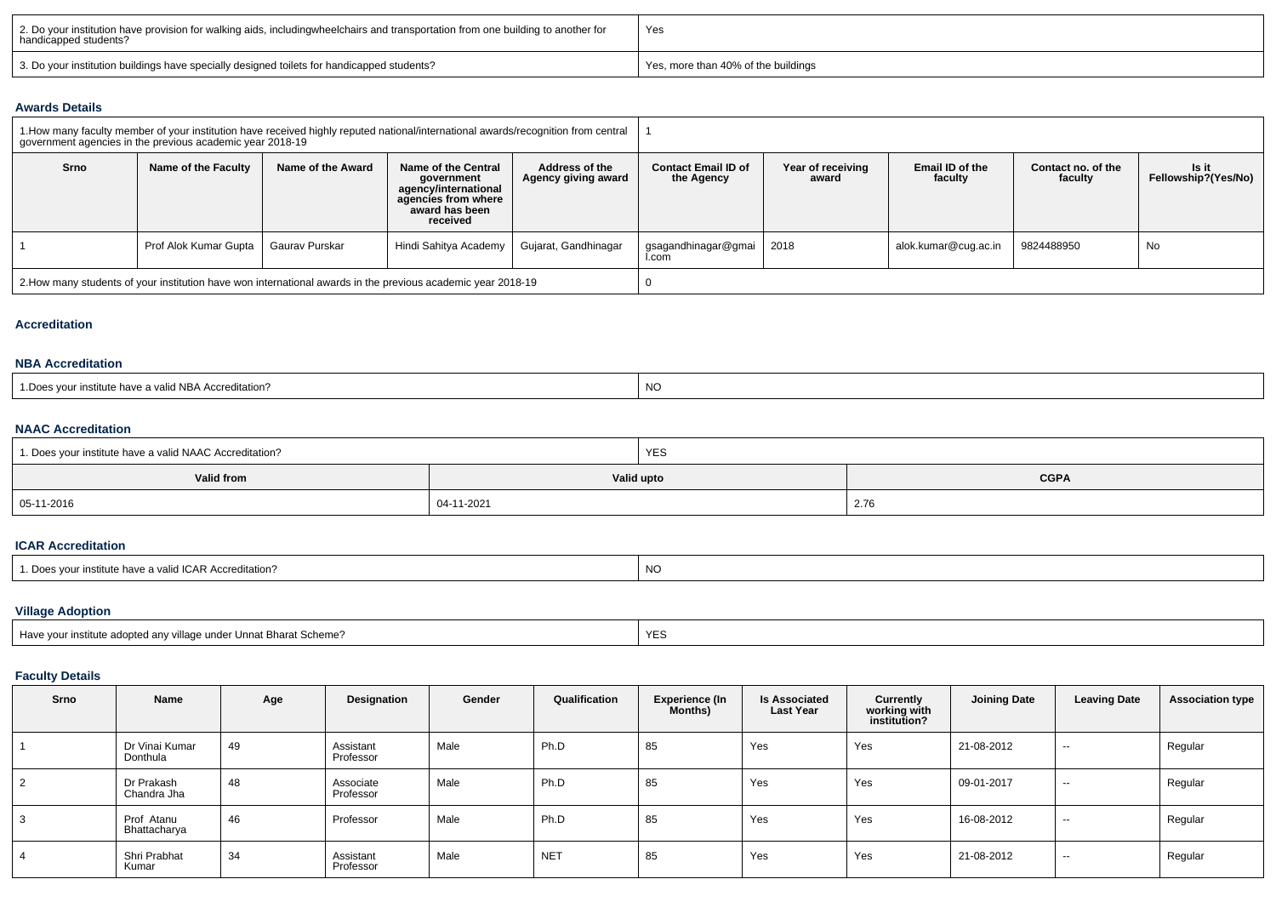| 2. Do your institution have provision for walking aids, includingwheelchairs and transportation from one building to another for<br>handicapped students? | Yes                                 |  |  |  |
|-----------------------------------------------------------------------------------------------------------------------------------------------------------|-------------------------------------|--|--|--|
| 3. Do your institution buildings have specially designed toilets for handicapped students?                                                                | Yes, more than 40% of the buildings |  |  |  |

#### **Awards Details**

|                                                                                                              | 1. How many faculty member of your institution have received highly reputed national/international awards/recognition from central<br>government agencies in the previous academic year 2018-19 |                   |                                                                                                                |                                       |                                          |                            |                            |                               |                              |  |  |
|--------------------------------------------------------------------------------------------------------------|-------------------------------------------------------------------------------------------------------------------------------------------------------------------------------------------------|-------------------|----------------------------------------------------------------------------------------------------------------|---------------------------------------|------------------------------------------|----------------------------|----------------------------|-------------------------------|------------------------------|--|--|
| Srno                                                                                                         | Name of the Faculty                                                                                                                                                                             | Name of the Award | Name of the Central<br>government<br>agency/international<br>agencies from where<br>award has been<br>received | Address of the<br>Agency giving award | <b>Contact Email ID of</b><br>the Agency | Year of receiving<br>award | Email ID of the<br>faculty | Contact no. of the<br>faculty | ls it<br>Fellowship?(Yes/No) |  |  |
|                                                                                                              | Prof Alok Kumar Gupta                                                                                                                                                                           | Gaurav Purskar    | Hindi Sahitya Academy                                                                                          | Gujarat, Gandhinagar                  | gsagandhinagar@gmai<br>l.com             | 2018                       | alok.kumar@cuq.ac.in       | 9824488950                    | No                           |  |  |
| 2. How many students of your institution have won international awards in the previous academic year 2018-19 |                                                                                                                                                                                                 |                   |                                                                                                                |                                       |                                          |                            |                            |                               |                              |  |  |

## **Accreditation**

#### **NBA Accreditation**

| <b>NO</b><br>d NBA Accreditation?<br>ınstıtute<br>i valio<br>liave a |  |
|----------------------------------------------------------------------|--|
|----------------------------------------------------------------------|--|

### **NAAC Accreditation**

| 1. Does your institute have a valid NAAC Accreditation? | <b>YES</b> |             |  |  |  |  |
|---------------------------------------------------------|------------|-------------|--|--|--|--|
| Valid from                                              | Valid upto | <b>CGPA</b> |  |  |  |  |
| 05-11-2016                                              | 04-11-2021 | 2.76        |  |  |  |  |

#### **ICAR Accreditation**

| 1. Does your institute have a valid ICAR Accreditation? | <b>NC</b> |
|---------------------------------------------------------|-----------|
|---------------------------------------------------------|-----------|

# **Village Adoption**

| Have your institute adopted any village under Unnat Bharat Scheme? | <b>YES</b> |
|--------------------------------------------------------------------|------------|
|                                                                    |            |

## **Faculty Details**

| Srno | Name                       | Age | Designation            | Gender | Qualification | <b>Experience (In</b><br>Months) | <b>Is Associated</b><br><b>Last Year</b> | Currently<br>working with<br>institution? | <b>Joining Date</b> | <b>Leaving Date</b> | <b>Association type</b> |
|------|----------------------------|-----|------------------------|--------|---------------|----------------------------------|------------------------------------------|-------------------------------------------|---------------------|---------------------|-------------------------|
|      | Dr Vinai Kumar<br>Donthula | 49  | Assistant<br>Professor | Male   | Ph.D          | 85                               | Yes                                      | Yes                                       | 21-08-2012          | $\sim$              | Regular                 |
| 2    | Dr Prakash<br>Chandra Jha  | 48  | Associate<br>Professor | Male   | Ph.D          | 85                               | Yes                                      | Yes                                       | 09-01-2017          | $\sim$              | Regular                 |
|      | Prof Atanu<br>Bhattacharya | 46  | Professor              | Male   | Ph.D          | 85                               | Yes                                      | Yes                                       | 16-08-2012          | $\sim$              | Regular                 |
|      | Shri Prabhat<br>Kumar      | 34  | Assistant<br>Professor | Male   | <b>NET</b>    | 85                               | Yes                                      | Yes                                       | 21-08-2012          | $\sim$              | Regular                 |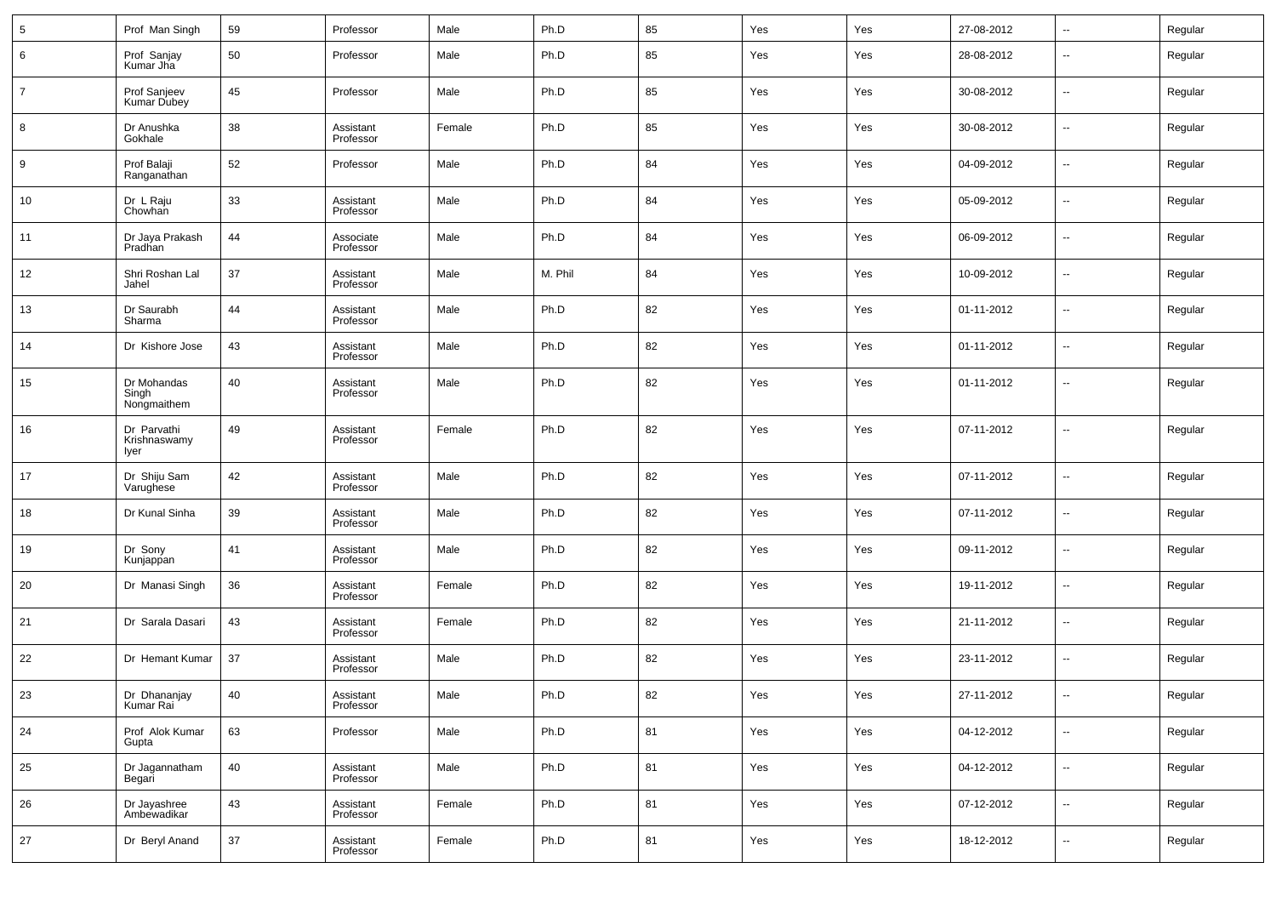| $\,$ 5 $\,$    | Prof Man Singh                      | 59 | Professor              | Male   | Ph.D    | 85 | Yes | Yes | 27-08-2012 | $\overline{\phantom{a}}$ | Regular |
|----------------|-------------------------------------|----|------------------------|--------|---------|----|-----|-----|------------|--------------------------|---------|
| 6              | Prof Sanjay<br>Kumar Jha            | 50 | Professor              | Male   | Ph.D    | 85 | Yes | Yes | 28-08-2012 | $\overline{\phantom{a}}$ | Regular |
| $\overline{7}$ | Prof Sanjeev<br>Kumar Dubey         | 45 | Professor              | Male   | Ph.D    | 85 | Yes | Yes | 30-08-2012 | $\overline{\phantom{a}}$ | Regular |
| 8              | Dr Anushka<br>Gokhale               | 38 | Assistant<br>Professor | Female | Ph.D    | 85 | Yes | Yes | 30-08-2012 | $\overline{\phantom{a}}$ | Regular |
| 9              | Prof Balaji<br>Ranganathan          | 52 | Professor              | Male   | Ph.D    | 84 | Yes | Yes | 04-09-2012 | $\overline{\phantom{a}}$ | Regular |
| 10             | Dr L Raju<br>Chowhan                | 33 | Assistant<br>Professor | Male   | Ph.D    | 84 | Yes | Yes | 05-09-2012 | $\overline{\phantom{a}}$ | Regular |
| 11             | Dr Jaya Prakash<br>Pradhan          | 44 | Associate<br>Professor | Male   | Ph.D    | 84 | Yes | Yes | 06-09-2012 | $\overline{\phantom{a}}$ | Regular |
| 12             | Shri Roshan Lal<br>Jahel            | 37 | Assistant<br>Professor | Male   | M. Phil | 84 | Yes | Yes | 10-09-2012 | $\ddotsc$                | Regular |
| 13             | Dr Saurabh<br>Sharma                | 44 | Assistant<br>Professor | Male   | Ph.D    | 82 | Yes | Yes | 01-11-2012 | $\overline{\phantom{a}}$ | Regular |
| 14             | Dr Kishore Jose                     | 43 | Assistant<br>Professor | Male   | Ph.D    | 82 | Yes | Yes | 01-11-2012 | --                       | Regular |
| 15             | Dr Mohandas<br>Singh<br>Nongmaithem | 40 | Assistant<br>Professor | Male   | Ph.D    | 82 | Yes | Yes | 01-11-2012 | --                       | Regular |
| 16             | Dr Parvathi<br>Krishnaswamy<br>Iyer | 49 | Assistant<br>Professor | Female | Ph.D    | 82 | Yes | Yes | 07-11-2012 | $\overline{\phantom{a}}$ | Regular |
| 17             | Dr Shiju Sam<br>Varughese           | 42 | Assistant<br>Professor | Male   | Ph.D    | 82 | Yes | Yes | 07-11-2012 | $\overline{\phantom{a}}$ | Regular |
| 18             | Dr Kunal Sinha                      | 39 | Assistant<br>Professor | Male   | Ph.D    | 82 | Yes | Yes | 07-11-2012 | $\overline{\phantom{a}}$ | Regular |
| 19             | Dr Sony<br>Kunjappan                | 41 | Assistant<br>Professor | Male   | Ph.D    | 82 | Yes | Yes | 09-11-2012 | $\overline{\phantom{a}}$ | Regular |
| 20             | Dr Manasi Singh                     | 36 | Assistant<br>Professor | Female | Ph.D    | 82 | Yes | Yes | 19-11-2012 | $\overline{\phantom{a}}$ | Regular |
| 21             | Dr Sarala Dasari                    | 43 | Assistant<br>Professor | Female | Ph.D    | 82 | Yes | Yes | 21-11-2012 | $\overline{\phantom{a}}$ | Regular |
| 22             | Dr Hemant Kumar                     | 37 | Assistant<br>Professor | Male   | Ph.D    | 82 | Yes | Yes | 23-11-2012 | $\overline{\phantom{a}}$ | Regular |
| 23             | Dr Dhananjay<br>Kumar Rai           | 40 | Assistant<br>Professor | Male   | Ph.D    | 82 | Yes | Yes | 27-11-2012 |                          | Regular |
| 24             | Prof Alok Kumar<br>Gupta            | 63 | Professor              | Male   | Ph.D    | 81 | Yes | Yes | 04-12-2012 | $\overline{\phantom{a}}$ | Regular |
| 25             | Dr Jagannatham<br>Begari            | 40 | Assistant<br>Professor | Male   | Ph.D    | 81 | Yes | Yes | 04-12-2012 | $\overline{\phantom{a}}$ | Regular |
| 26             | Dr Jayashree<br>Ambewadikar         | 43 | Assistant<br>Professor | Female | Ph.D    | 81 | Yes | Yes | 07-12-2012 | ۰.                       | Regular |
| 27             | Dr Beryl Anand                      | 37 | Assistant<br>Professor | Female | Ph.D    | 81 | Yes | Yes | 18-12-2012 | ۰.                       | Regular |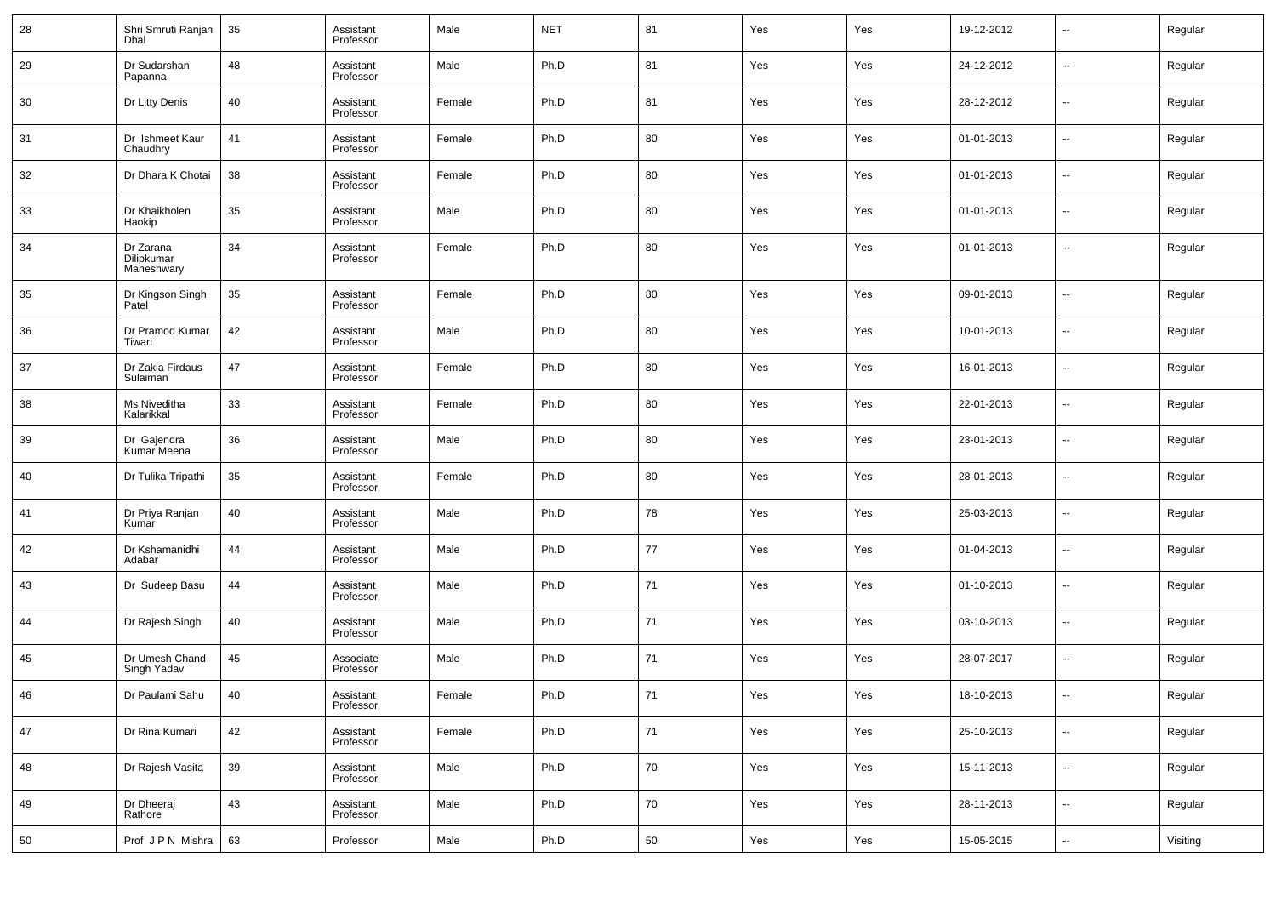| 28 | Shri Smruti Ranjan<br>Dhal            | 35 | Assistant<br>Professor | Male   | <b>NET</b> | 81 | Yes | Yes | 19-12-2012 | $\overline{\phantom{a}}$ | Regular  |
|----|---------------------------------------|----|------------------------|--------|------------|----|-----|-----|------------|--------------------------|----------|
| 29 | Dr Sudarshan<br>Papanna               | 48 | Assistant<br>Professor | Male   | Ph.D       | 81 | Yes | Yes | 24-12-2012 | $\sim$                   | Regular  |
| 30 | Dr Litty Denis                        | 40 | Assistant<br>Professor | Female | Ph.D       | 81 | Yes | Yes | 28-12-2012 | $\sim$                   | Regular  |
| 31 | Dr Ishmeet Kaur<br>Chaudhry           | 41 | Assistant<br>Professor | Female | Ph.D       | 80 | Yes | Yes | 01-01-2013 | $\sim$                   | Regular  |
| 32 | Dr Dhara K Chotai                     | 38 | Assistant<br>Professor | Female | Ph.D       | 80 | Yes | Yes | 01-01-2013 | $\sim$                   | Regular  |
| 33 | Dr Khaikholen<br>Haokip               | 35 | Assistant<br>Professor | Male   | Ph.D       | 80 | Yes | Yes | 01-01-2013 | $\sim$                   | Regular  |
| 34 | Dr Zarana<br>Dilipkumar<br>Maheshwary | 34 | Assistant<br>Professor | Female | Ph.D       | 80 | Yes | Yes | 01-01-2013 | $\sim$                   | Regular  |
| 35 | Dr Kingson Singh<br>Patel             | 35 | Assistant<br>Professor | Female | Ph.D       | 80 | Yes | Yes | 09-01-2013 | u.                       | Regular  |
| 36 | Dr Pramod Kumar<br>Tiwari             | 42 | Assistant<br>Professor | Male   | Ph.D       | 80 | Yes | Yes | 10-01-2013 | u.                       | Regular  |
| 37 | Dr Zakia Firdaus<br>Sulaiman          | 47 | Assistant<br>Professor | Female | Ph.D       | 80 | Yes | Yes | 16-01-2013 | $\overline{\phantom{a}}$ | Regular  |
| 38 | Ms Niveditha<br>Kalarikkal            | 33 | Assistant<br>Professor | Female | Ph.D       | 80 | Yes | Yes | 22-01-2013 | н.                       | Regular  |
| 39 | Dr Gajendra<br>Kumar Meena            | 36 | Assistant<br>Professor | Male   | Ph.D       | 80 | Yes | Yes | 23-01-2013 | $\overline{\phantom{a}}$ | Regular  |
| 40 | Dr Tulika Tripathi                    | 35 | Assistant<br>Professor | Female | Ph.D       | 80 | Yes | Yes | 28-01-2013 | ш.                       | Regular  |
| 41 | Dr Priya Ranjan<br>Kumar              | 40 | Assistant<br>Professor | Male   | Ph.D       | 78 | Yes | Yes | 25-03-2013 | ш.                       | Regular  |
| 42 | Dr Kshamanidhi<br>Adabar              | 44 | Assistant<br>Professor | Male   | Ph.D       | 77 | Yes | Yes | 01-04-2013 | ш.                       | Regular  |
| 43 | Dr Sudeep Basu                        | 44 | Assistant<br>Professor | Male   | Ph.D       | 71 | Yes | Yes | 01-10-2013 | ш.                       | Regular  |
| 44 | Dr Rajesh Singh                       | 40 | Assistant<br>Professor | Male   | Ph.D       | 71 | Yes | Yes | 03-10-2013 | ш.                       | Regular  |
| 45 | Dr Umesh Chand<br>Singh Yadav         | 45 | Associate<br>Professor | Male   | Ph.D       | 71 | Yes | Yes | 28-07-2017 | ш.                       | Regular  |
| 46 | Dr Paulami Sahu                       | 40 | Assistant<br>Professor | Female | Ph.D       | 71 | Yes | Yes | 18-10-2013 |                          | Regular  |
| 47 | Dr Rina Kumari                        | 42 | Assistant<br>Professor | Female | Ph.D       | 71 | Yes | Yes | 25-10-2013 | $\overline{\phantom{a}}$ | Regular  |
| 48 | Dr Rajesh Vasita                      | 39 | Assistant<br>Professor | Male   | Ph.D       | 70 | Yes | Yes | 15-11-2013 | $\overline{\phantom{a}}$ | Regular  |
| 49 | Dr Dheeraj<br>Rathore                 | 43 | Assistant<br>Professor | Male   | Ph.D       | 70 | Yes | Yes | 28-11-2013 | $\overline{\phantom{a}}$ | Regular  |
| 50 | Prof JPN Mishra                       | 63 | Professor              | Male   | Ph.D       | 50 | Yes | Yes | 15-05-2015 | $\overline{\phantom{a}}$ | Visiting |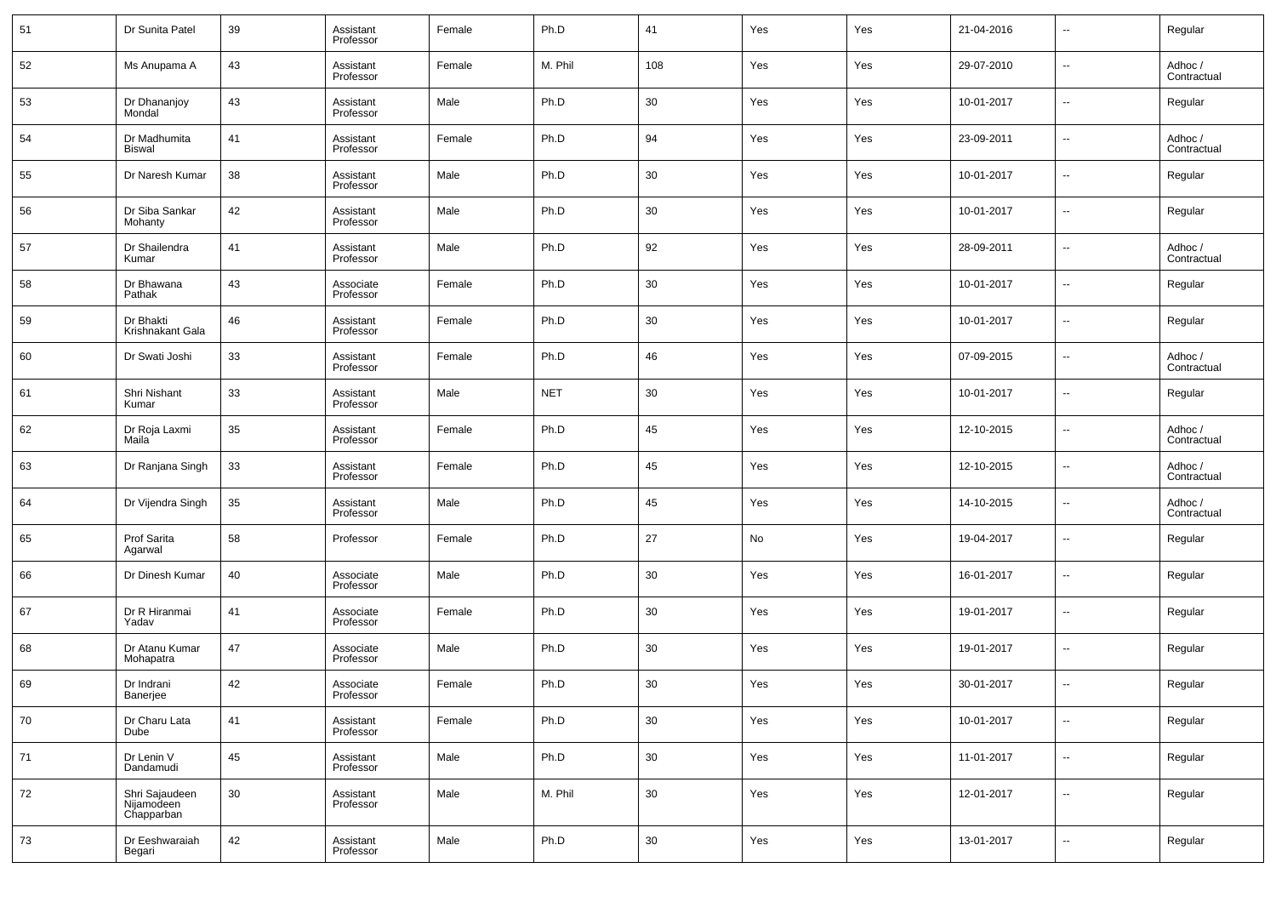| 51 | Dr Sunita Patel                            | 39 | Assistant<br>Professor | Female | Ph.D       | 41     | Yes | Yes | 21-04-2016 | $\overline{\phantom{a}}$ | Regular                |
|----|--------------------------------------------|----|------------------------|--------|------------|--------|-----|-----|------------|--------------------------|------------------------|
| 52 | Ms Anupama A                               | 43 | Assistant<br>Professor | Female | M. Phil    | 108    | Yes | Yes | 29-07-2010 | $\overline{\phantom{a}}$ | Adhoc /<br>Contractual |
| 53 | Dr Dhananjoy<br>Mondal                     | 43 | Assistant<br>Professor | Male   | Ph.D       | 30     | Yes | Yes | 10-01-2017 | $\overline{\phantom{a}}$ | Regular                |
| 54 | Dr Madhumita<br>Biswal                     | 41 | Assistant<br>Professor | Female | Ph.D       | 94     | Yes | Yes | 23-09-2011 | $\overline{\phantom{a}}$ | Adhoc /<br>Contractual |
| 55 | Dr Naresh Kumar                            | 38 | Assistant<br>Professor | Male   | Ph.D       | 30     | Yes | Yes | 10-01-2017 | $\overline{\phantom{a}}$ | Regular                |
| 56 | Dr Siba Sankar<br>Mohanty                  | 42 | Assistant<br>Professor | Male   | Ph.D       | 30     | Yes | Yes | 10-01-2017 | $\overline{\phantom{a}}$ | Regular                |
| 57 | Dr Shailendra<br>Kumar                     | 41 | Assistant<br>Professor | Male   | Ph.D       | 92     | Yes | Yes | 28-09-2011 | $\overline{\phantom{a}}$ | Adhoc /<br>Contractual |
| 58 | Dr Bhawana<br>Pathak                       | 43 | Associate<br>Professor | Female | Ph.D       | 30     | Yes | Yes | 10-01-2017 | $\overline{\phantom{a}}$ | Regular                |
| 59 | Dr Bhakti<br>Krishnakant Gala              | 46 | Assistant<br>Professor | Female | Ph.D       | 30     | Yes | Yes | 10-01-2017 | $\overline{\phantom{a}}$ | Regular                |
| 60 | Dr Swati Joshi                             | 33 | Assistant<br>Professor | Female | Ph.D       | 46     | Yes | Yes | 07-09-2015 | $\overline{\phantom{a}}$ | Adhoc /<br>Contractual |
| 61 | Shri Nishant<br>Kumar                      | 33 | Assistant<br>Professor | Male   | <b>NET</b> | 30     | Yes | Yes | 10-01-2017 | $\overline{\phantom{a}}$ | Regular                |
| 62 | Dr Roja Laxmi<br>Maila                     | 35 | Assistant<br>Professor | Female | Ph.D       | 45     | Yes | Yes | 12-10-2015 | $\overline{\phantom{a}}$ | Adhoc /<br>Contractual |
| 63 | Dr Ranjana Singh                           | 33 | Assistant<br>Professor | Female | Ph.D       | 45     | Yes | Yes | 12-10-2015 | $\overline{\phantom{a}}$ | Adhoc /<br>Contractual |
| 64 | Dr Vijendra Singh                          | 35 | Assistant<br>Professor | Male   | Ph.D       | 45     | Yes | Yes | 14-10-2015 | $\overline{\phantom{a}}$ | Adhoc /<br>Contractual |
| 65 | Prof Sarita<br>Agarwal                     | 58 | Professor              | Female | Ph.D       | 27     | No  | Yes | 19-04-2017 | $\overline{\phantom{a}}$ | Regular                |
| 66 | Dr Dinesh Kumar                            | 40 | Associate<br>Professor | Male   | Ph.D       | 30     | Yes | Yes | 16-01-2017 | $\overline{\phantom{a}}$ | Regular                |
| 67 | Dr R Hiranmai<br>Yadav                     | 41 | Associate<br>Professor | Female | Ph.D       | 30     | Yes | Yes | 19-01-2017 | $\overline{\phantom{a}}$ | Regular                |
| 68 | Dr Atanu Kumar<br>Mohapatra                | 47 | Associate<br>Professor | Male   | Ph.D       | 30     | Yes | Yes | 19-01-2017 | $\overline{\phantom{a}}$ | Regular                |
| 69 | Dr Indrani<br>Banerjee                     | 42 | Associate<br>Professor | Female | Ph.D       | 30     | Yes | Yes | 30-01-2017 | $\overline{\phantom{a}}$ | Regular                |
| 70 | Dr Charu Lata<br>Dube                      | 41 | Assistant<br>Professor | Female | Ph.D       | $30\,$ | Yes | Yes | 10-01-2017 | $\overline{\phantom{a}}$ | Regular                |
| 71 | Dr Lenin V<br>Dandamudi                    | 45 | Assistant<br>Professor | Male   | Ph.D       | $30\,$ | Yes | Yes | 11-01-2017 | $\overline{\phantom{a}}$ | Regular                |
| 72 | Shri Sajaudeen<br>Nijamodeen<br>Chapparban | 30 | Assistant<br>Professor | Male   | M. Phil    | 30     | Yes | Yes | 12-01-2017 | $\sim$                   | Regular                |
| 73 | Dr Eeshwaraiah<br>Begari                   | 42 | Assistant<br>Professor | Male   | Ph.D       | 30     | Yes | Yes | 13-01-2017 | $\sim$                   | Regular                |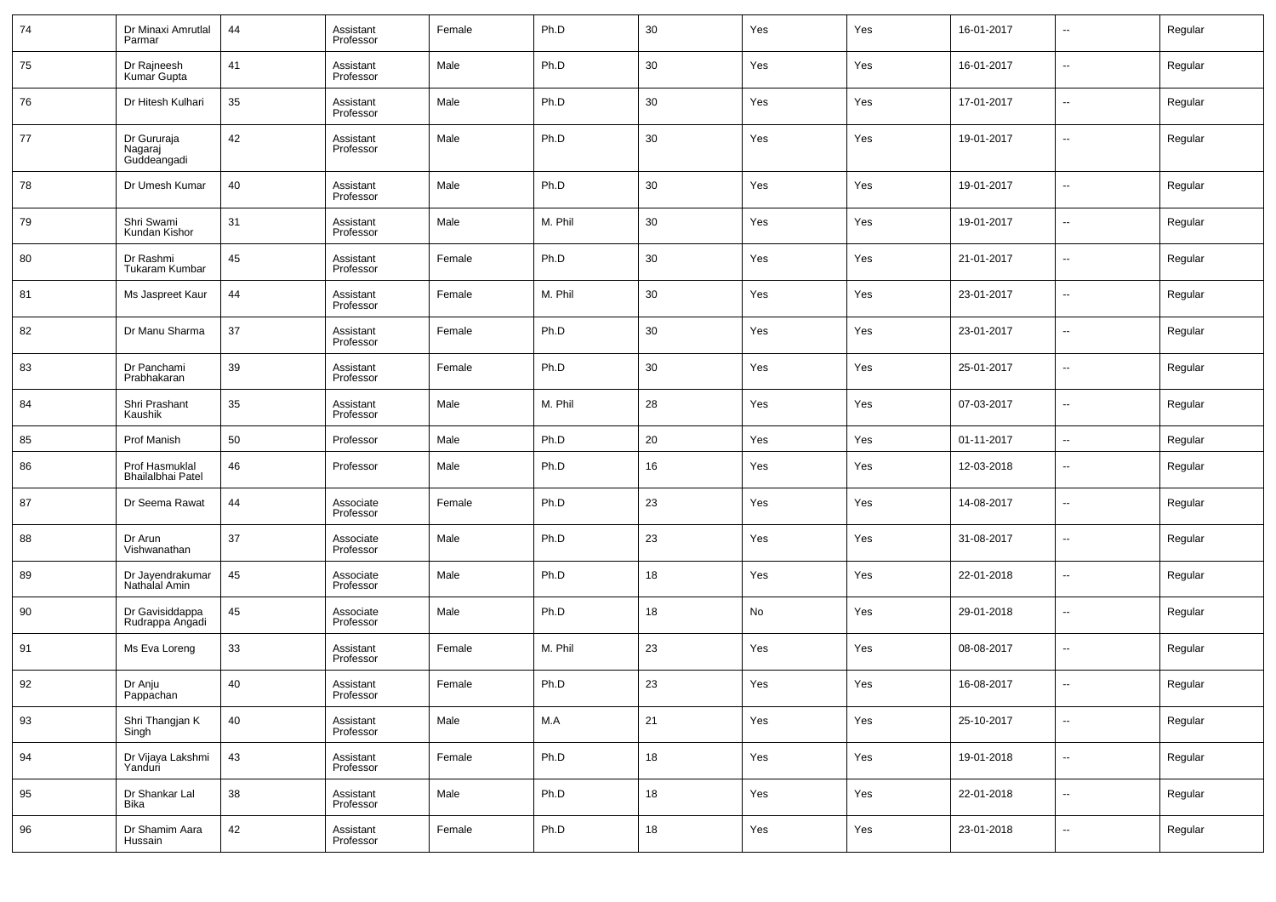| 74 | Dr Minaxi Amrutlal<br>Parmar          | 44 | Assistant<br>Professor | Female | Ph.D    | 30 | Yes | Yes | 16-01-2017 | --                       | Regular |
|----|---------------------------------------|----|------------------------|--------|---------|----|-----|-----|------------|--------------------------|---------|
| 75 | Dr Rajneesh<br>Kumar Gupta            | 41 | Assistant<br>Professor | Male   | Ph.D    | 30 | Yes | Yes | 16-01-2017 | $\overline{\phantom{a}}$ | Regular |
| 76 | Dr Hitesh Kulhari                     | 35 | Assistant<br>Professor | Male   | Ph.D    | 30 | Yes | Yes | 17-01-2017 | --                       | Regular |
| 77 | Dr Gururaja<br>Nagaraj<br>Guddeangadi | 42 | Assistant<br>Professor | Male   | Ph.D    | 30 | Yes | Yes | 19-01-2017 | --                       | Regular |
| 78 | Dr Umesh Kumar                        | 40 | Assistant<br>Professor | Male   | Ph.D    | 30 | Yes | Yes | 19-01-2017 | --                       | Regular |
| 79 | Shri Swami<br>Kundan Kishor           | 31 | Assistant<br>Professor | Male   | M. Phil | 30 | Yes | Yes | 19-01-2017 | $\overline{\phantom{a}}$ | Regular |
| 80 | Dr Rashmi<br><b>Tukaram Kumbar</b>    | 45 | Assistant<br>Professor | Female | Ph.D    | 30 | Yes | Yes | 21-01-2017 | --                       | Regular |
| 81 | Ms Jaspreet Kaur                      | 44 | Assistant<br>Professor | Female | M. Phil | 30 | Yes | Yes | 23-01-2017 | $\overline{\phantom{a}}$ | Regular |
| 82 | Dr Manu Sharma                        | 37 | Assistant<br>Professor | Female | Ph.D    | 30 | Yes | Yes | 23-01-2017 | $\overline{\phantom{a}}$ | Regular |
| 83 | Dr Panchami<br>Prabhakaran            | 39 | Assistant<br>Professor | Female | Ph.D    | 30 | Yes | Yes | 25-01-2017 | $\overline{\phantom{a}}$ | Regular |
| 84 | Shri Prashant<br>Kaushik              | 35 | Assistant<br>Professor | Male   | M. Phil | 28 | Yes | Yes | 07-03-2017 | $\overline{\phantom{a}}$ | Regular |
| 85 | Prof Manish                           | 50 | Professor              | Male   | Ph.D    | 20 | Yes | Yes | 01-11-2017 | ÷.                       | Regular |
| 86 | Prof Hasmuklal<br>Bhailalbhai Patel   | 46 | Professor              | Male   | Ph.D    | 16 | Yes | Yes | 12-03-2018 | --                       | Regular |
| 87 | Dr Seema Rawat                        | 44 | Associate<br>Professor | Female | Ph.D    | 23 | Yes | Yes | 14-08-2017 | --                       | Regular |
| 88 | Dr Arun<br>Vishwanathan               | 37 | Associate<br>Professor | Male   | Ph.D    | 23 | Yes | Yes | 31-08-2017 | --                       | Regular |
| 89 | Dr Jayendrakumar<br>Nathalal Amin     | 45 | Associate<br>Professor | Male   | Ph.D    | 18 | Yes | Yes | 22-01-2018 | --                       | Regular |
| 90 | Dr Gavisiddappa<br>Rudrappa Angadi    | 45 | Associate<br>Professor | Male   | Ph.D    | 18 | No  | Yes | 29-01-2018 | --                       | Regular |
| 91 | Ms Eva Loreng                         | 33 | Assistant<br>Professor | Female | M. Phil | 23 | Yes | Yes | 08-08-2017 | --                       | Regular |
| 92 | Dr Anju<br>Pappachan                  | 40 | Assistant<br>Professor | Female | Ph.D    | 23 | Yes | Yes | 16-08-2017 | --                       | Regular |
| 93 | Shri Thangjan K<br>Singh              | 40 | Assistant<br>Professor | Male   | M.A     | 21 | Yes | Yes | 25-10-2017 | щ.                       | Regular |
| 94 | Dr Vijaya Lakshmi<br>Yanduri          | 43 | Assistant<br>Professor | Female | Ph.D    | 18 | Yes | Yes | 19-01-2018 | щ.                       | Regular |
| 95 | Dr Shankar Lal<br>Bika                | 38 | Assistant<br>Professor | Male   | Ph.D    | 18 | Yes | Yes | 22-01-2018 | щ.                       | Regular |
| 96 | Dr Shamim Aara<br>Hussain             | 42 | Assistant<br>Professor | Female | Ph.D    | 18 | Yes | Yes | 23-01-2018 | щ.                       | Regular |